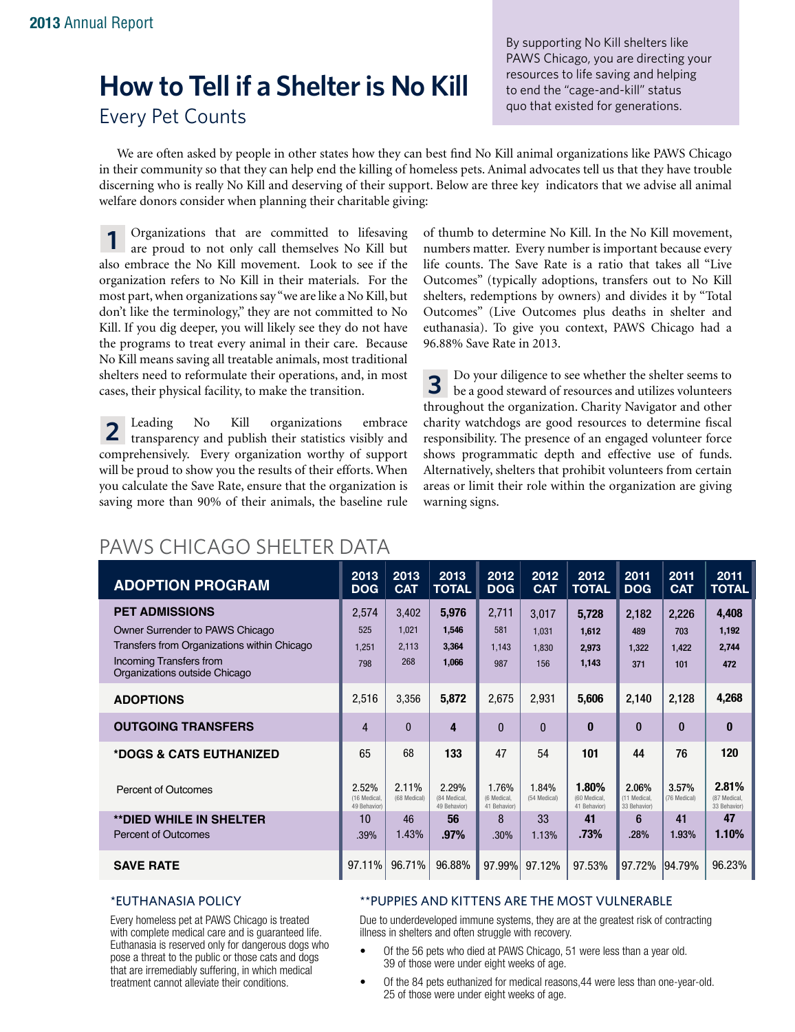# **How to Tell if a Shelter is No Kill**

Every Pet Counts

By supporting No Kill shelters like PAWS Chicago, you are directing your resources to life saving and helping to end the "cage-and-kill" status quo that existed for generations.

We are often asked by people in other states how they can best find No Kill animal organizations like PAWS Chicago in their community so that they can help end the killing of homeless pets. Animal advocates tell us that they have trouble discerning who is really No Kill and deserving of their support. Below are three key indicators that we advise all animal welfare donors consider when planning their charitable giving:

Organizations that are committed to lifesaving are proud to not only call themselves No Kill but also embrace the No Kill movement. Look to see if the organization refers to No Kill in their materials. For the most part, when organizations say "we are like a No Kill, but don't like the terminology," they are not committed to No Kill. If you dig deeper, you will likely see they do not have the programs to treat every animal in their care. Because No Kill means saving all treatable animals, most traditional shelters need to reformulate their operations, and, in most cases, their physical facility, to make the transition. **1**

Leading No Kill organizations embrace transparency and publish their statistics visibly and comprehensively. Every organization worthy of support will be proud to show you the results of their efforts. When you calculate the Save Rate, ensure that the organization is saving more than 90% of their animals, the baseline rule **2**

of thumb to determine No Kill. In the No Kill movement, numbers matter. Every number is important because every life counts. The Save Rate is a ratio that takes all "Live Outcomes" (typically adoptions, transfers out to No Kill shelters, redemptions by owners) and divides it by "Total Outcomes" (Live Outcomes plus deaths in shelter and euthanasia). To give you context, PAWS Chicago had a 96.88% Save Rate in 2013.

Do your diligence to see whether the shelter seems to be a good steward of resources and utilizes volunteers throughout the organization. Charity Navigator and other charity watchdogs are good resources to determine fiscal responsibility. The presence of an engaged volunteer force shows programmatic depth and effective use of funds. Alternatively, shelters that prohibit volunteers from certain areas or limit their role within the organization are giving warning signs. **3**

| <b>ADOPTION PROGRAM</b>                                  | 2013<br><b>DOG</b>                   | 2013<br><b>CAT</b>    | 2013<br><b>TOTAL</b>                  | 2012<br><b>DOG</b>                   | 2012<br><b>CAT</b>    | 2012<br><b>TOTAL</b>                  | 2011<br><b>DOG</b>                    | 2011<br><b>CAT</b>    | 2011<br><b>TOTAL</b>                 |
|----------------------------------------------------------|--------------------------------------|-----------------------|---------------------------------------|--------------------------------------|-----------------------|---------------------------------------|---------------------------------------|-----------------------|--------------------------------------|
| <b>PET ADMISSIONS</b>                                    | 2,574                                | 3,402                 | 5,976                                 | 2,711                                | 3.017                 | 5,728                                 | 2.182                                 | 2,226                 | 4,408                                |
| Owner Surrender to PAWS Chicago                          | 525                                  | 1.021                 | 1,546                                 | 581                                  | 1,031                 | 1.612                                 | 489                                   | 703                   | 1,192                                |
| Transfers from Organizations within Chicago              | 1.251                                | 2,113                 | 3,364                                 | 1,143                                | 1,830                 | 2.973                                 | 1,322                                 | 1,422                 | 2,744                                |
| Incoming Transfers from<br>Organizations outside Chicago | 798                                  | 268                   | 1.066                                 | 987                                  | 156                   | 1.143                                 | 371                                   | 101                   | 472                                  |
| <b>ADOPTIONS</b>                                         | 2,516                                | 3,356                 | 5,872                                 | 2,675                                | 2,931                 | 5,606                                 | 2,140                                 | 2,128                 | 4,268                                |
| <b>OUTGOING TRANSFERS</b>                                | 4                                    | $\overline{0}$        | 4                                     | $\Omega$                             | $\mathbf{0}$          | $\bf{0}$                              | $\bf{0}$                              | $\bf{0}$              | $\bf{0}$                             |
| *DOGS & CATS EUTHANIZED                                  | 65                                   | 68                    | 133                                   | 47                                   | 54                    | 101                                   | 44                                    | 76                    | 120                                  |
| <b>Percent of Outcomes</b>                               | 2.52%<br>(16 Medical<br>49 Behavior) | 2.11%<br>(68 Medical) | 2.29%<br>(84 Medical,<br>49 Behavior) | 1.76%<br>(6 Medical,<br>41 Behavior) | 1.84%<br>(54 Medical) | 1.80%<br>(60 Medical,<br>41 Behavior) | 2.06%<br>(11 Medical,<br>33 Behavior) | 3.57%<br>(76 Medical) | 2.81%<br>(87 Medical<br>33 Behavior) |
| <b>**DIED WHILE IN SHELTER</b>                           | 10                                   | 46                    | 56                                    | 8                                    | 33                    | 41                                    | 6                                     | 41                    | 47                                   |
| <b>Percent of Outcomes</b>                               | .39%                                 | 1.43%                 | .97%                                  | .30%                                 | 1.13%                 | .73%                                  | .28%                                  | 1.93%                 | 1.10%                                |
| <b>SAVE RATE</b>                                         | 97.11%                               | 96.71%                | 96.88%                                | 97.99%                               | 97.12%                | 97.53%                                | 97.72%                                | 94.79%                | 96.23%                               |

### PAWS CHICAGO Shelter DATA

### \*EUTHANASIA POLICY

Every homeless pet at PAWS Chicago is treated with complete medical care and is guaranteed life. Euthanasia is reserved only for dangerous dogs who pose a threat to the public or those cats and dogs that are irremediably suffering, in which medical treatment cannot alleviate their conditions.

### \*\*Puppies and kittens are the most vulnerable

Due to underdeveloped immune systems, they are at the greatest risk of contracting illness in shelters and often struggle with recovery.

- Of the 56 pets who died at PAWS Chicago, 51 were less than a year old. 39 of those were under eight weeks of age.
- Of the 84 pets euthanized for medical reasons, 44 were less than one-year-old. 25 of those were under eight weeks of age.